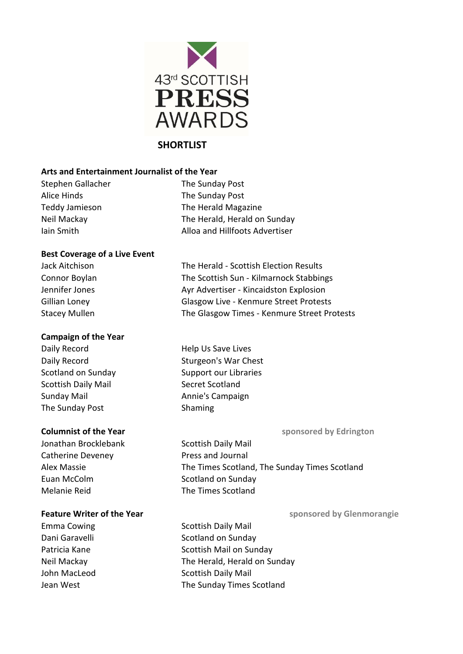

# **SHORTLIST**

# **Arts and Entertainment Journalist of the Year**

Stephen Gallacher The Sunday Post Alice Hinds The Sunday Post

Teddy Jamieson The Herald Magazine Neil Mackay The Herald, Herald on Sunday Iain Smith **Alloa and Hillfoots Advertiser** 

# **Best Coverage of a Live Event**

Jack Aitchison The Herald - Scottish Election Results Connor Boylan The Scottish Sun - Kilmarnock Stabbings Jennifer Jones **Ayr Advertiser** - Kincaidston Explosion Gillian Loney Glasgow Live - Kenmure Street Protests Stacey Mullen The Glasgow Times - Kenmure Street Protests

# **Campaign of the Year**

Daily Record **Help Us Save Lives** Scottish Daily Mail Secret Scotland Sunday Mail **Annie's Campaign** The Sunday Post Shaming

- Jonathan Brocklebank Scottish Daily Mail Catherine Deveney **Press** and Journal Euan McColm Scotland on Sunday Melanie Reid The Times Scotland
- Daily Record Sturgeon's War Chest Scotland on Sunday Support our Libraries

**Columnist of the Year Sepanse 2018** Sponsored by Edrington

Alex Massie The Times Scotland, The Sunday Times Scotland

# **Feature Writer of the Year Sepanse 2018 1998 1999 Sponsored by Glenmorangie**

Emma Cowing The Scottish Daily Mail

Dani Garavelli Scotland on Sunday Patricia Kane **Scottish Mail on Sunday** Neil Mackay The Herald, Herald on Sunday John MacLeod Scottish Daily Mail Jean West **The Sunday Times Scotland**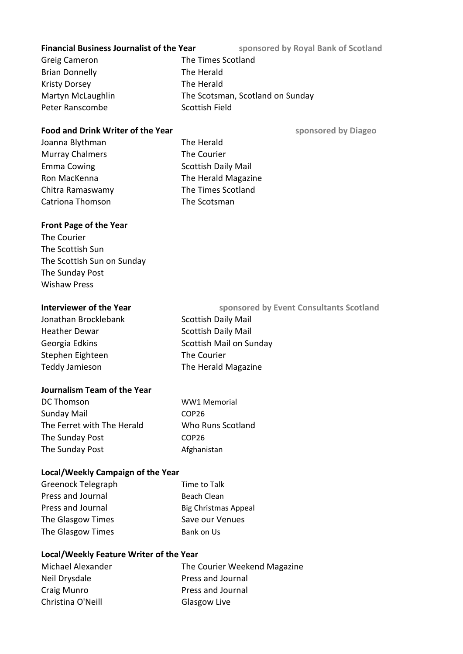#### **Financial Business Journalist of the Year** sponsored by Royal Bank of Scotland

Greig Cameron The Times Scotland Brian Donnelly The Herald Kristy Dorsey **The Herald** Martyn McLaughlin The Scotsman, Scotland on Sunday Peter Ranscombe Scottish Field

### **Food and Drink Writer of the Year Sepansed By Diageo** sponsored by Diageo

Joanna Blythman The Herald Murray Chalmers The Courier Emma Cowing The Scottish Daily Mail Ron MacKenna **The Herald Magazine** Chitra Ramaswamy The Times Scotland Catriona Thomson The Scotsman

# **Front Page of the Year**

The Courier The Scottish Sun The Scottish Sun on Sunday The Sunday Post Wishaw Press

Jonathan Brocklebank Scottish Daily Mail Heather Dewar Scottish Daily Mail Georgia Edkins Scottish Mail on Sunday Stephen Eighteen The Courier Teddy Jamieson The Herald Magazine **Interviewer of the Year** sponsored by Event Consultants Scotland

# **Journalism Team of the Year**

| DC Thomson                 | WW1 Memorial      |
|----------------------------|-------------------|
| Sunday Mail                | COP <sub>26</sub> |
| The Ferret with The Herald | Who Runs Scotland |
| The Sunday Post            | COP <sub>26</sub> |
| The Sunday Post            | Afghanistan       |

# **Local/Weekly Campaign of the Year**

| Greenock Telegraph | Time to Talk                |
|--------------------|-----------------------------|
| Press and Journal  | Beach Clean                 |
| Press and Journal  | <b>Big Christmas Appeal</b> |
| The Glasgow Times  | Save our Venues             |
| The Glasgow Times  | Bank on Us                  |

#### **Local/Weekly Feature Writer of the Year**

| Michael Alexander | The Courier Weekend Magazine |
|-------------------|------------------------------|
| Neil Drysdale     | Press and Journal            |
| Craig Munro       | Press and Journal            |
| Christina O'Neill | Glasgow Live                 |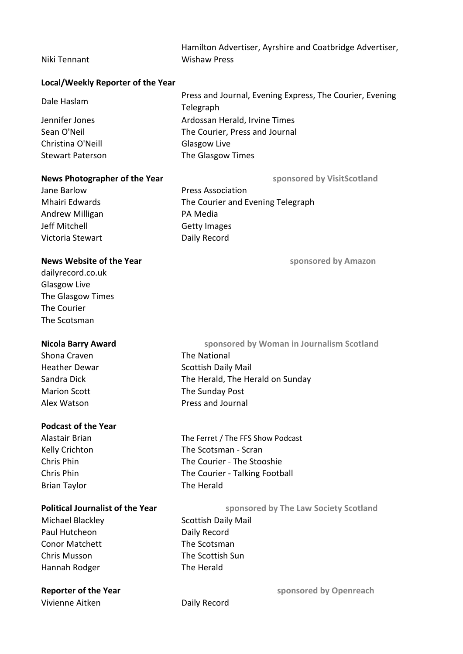| Hamilton Advertiser, Ayrshire and Coatbridge Advertiser, |  |
|----------------------------------------------------------|--|
| <b>Wishaw Press</b>                                      |  |

# **Local/Weekly Reporter of the Year**

Niki Tennant

| Dale Haslam             | Press and Journal, Evening Express, The Courier, Evening |
|-------------------------|----------------------------------------------------------|
|                         | Telegraph                                                |
| Jennifer Jones          | Ardossan Herald, Irvine Times                            |
| Sean O'Neil             | The Courier, Press and Journal                           |
| Christina O'Neill       | Glasgow Live                                             |
| <b>Stewart Paterson</b> | The Glasgow Times                                        |

#### **News Photographer of the Year subsetimal sponsored by VisitScotland**

Jane Barlow Press Association Mhairi Edwards The Courier and Evening Telegraph Andrew Milligan PA Media Jeff Mitchell Getty Images Victoria Stewart **Daily Record** 

### **News Website of the Year Service State of the Year Sponsored by Amazon**

[dailyrecord.co.uk](http://dailyrecord.co.uk/) Glasgow Live The Glasgow Times The Courier The Scotsman

Shona Craven **The National** Marion Scott The Sunday Post Alex Watson **Press** and Journal

# **Podcast of the Year**

Brian Taylor The Herald

Michael Blackley Scottish Daily Mail Paul Hutcheon Daily Record Conor Matchett The Scotsman Chris Musson The Scottish Sun Hannah Rodger The Herald

Vivienne Aitken Daily Record

Heather Dewar Scottish Daily Mail Sandra Dick The Herald, The Herald on Sunday **Nicola Barry Award Sponsored by Woman in Journalism Scotland** 

Alastair Brian The Ferret / The FFS Show Podcast Kelly Crichton The Scotsman - Scran Chris Phin The Courier - The Stooshie Chris Phin The Courier - Talking Football

**Political Journalist of the Year** sponsored by The Law Society Scotland

**Reporter of the Year sponsored by Openreach sponsored by Openreach**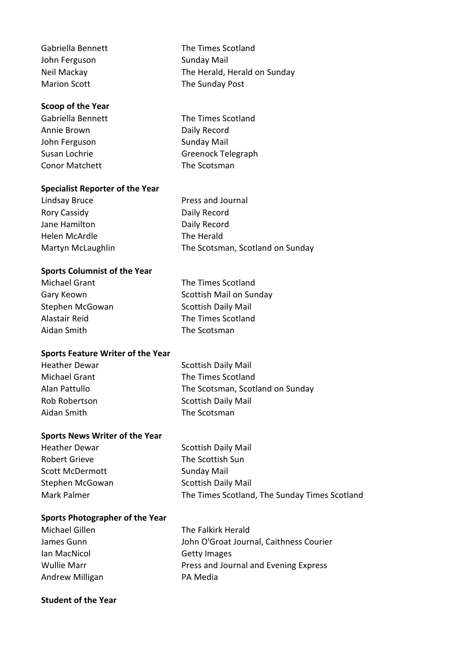| Gabriella Bennett   | The Times Scotland           |
|---------------------|------------------------------|
| John Ferguson       | <b>Sunday Mail</b>           |
| Neil Mackay         | The Herald, Herald on Sunday |
| <b>Marion Scott</b> | The Sunday Post              |

# **Scoop of the Year**

Gabriella Bennett The Times Scotland Annie Brown Daily Record John Ferguson Sunday Mail Susan Lochrie Greenock Telegraph Conor Matchett The Scotsman

#### **Specialist Reporter of the Year**

Lindsay Bruce **Press and Journal** Rory Cassidy **Daily Record** Jane Hamilton Daily Record Helen McArdle The Herald Martyn McLaughlin The Scotsman, Scotland on Sunday

#### **Sports Columnist of the Year**

| Michael Grant   | The Times Scotland         |
|-----------------|----------------------------|
| Gary Keown      | Scottish Mail on Sunday    |
| Stephen McGowan | <b>Scottish Daily Mail</b> |
| Alastair Reid   | The Times Scotland         |
| Aidan Smith     | The Scotsman               |

#### **Sports Feature Writer of the Year**

Aidan Smith The Scotsman

Heather Dewar Scottish Daily Mail Michael Grant The Times Scotland Alan Pattullo The Scotsman, Scotland on Sunday Rob Robertson Scottish Daily Mail

### **Sports News Writer of the Year**

| <b>Heather Dewar</b> | <b>Scottish Daily Mail</b>                    |
|----------------------|-----------------------------------------------|
| Robert Grieve        | The Scottish Sun                              |
| Scott McDermott      | Sunday Mail                                   |
| Stephen McGowan      | <b>Scottish Daily Mail</b>                    |
| Mark Palmer          | The Times Scotland, The Sunday Times Scotland |

#### **Sports Photographer of the Year**

| Michael Gillen  | The Falkirk Herald                      |
|-----------------|-----------------------------------------|
| James Gunn      | John O'Groat Journal, Caithness Courier |
| lan MacNicol    | <b>Getty Images</b>                     |
| Wullie Marr     | Press and Journal and Evening Express   |
| Andrew Milligan | PA Media                                |

### **Student of the Year**